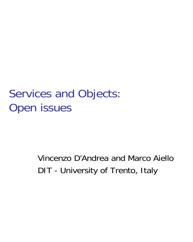# Services and Objects: Open issues

# Vincenzo D'Andrea and Marco AielloDIT - University of Trento, Italy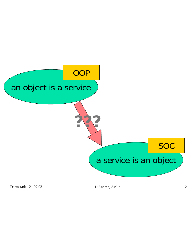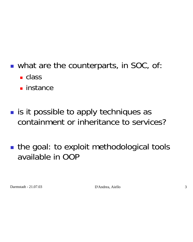- **.** what are the counterparts, in SOC, of
	- class
	- instance

**.** is it possible to apply techniques as containment or inheritance to services?

■ the goal: to exploit methodological tools available in OOP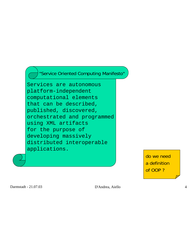"Service Oriented Computing Manifesto"

Services are autonomousplatform-independent computational elements that can be described, published, discovered, orchestrated and programmed using XML artifacts for the purpose of developing massively distributed interoperable applications.

> do we need a definition of OOP ?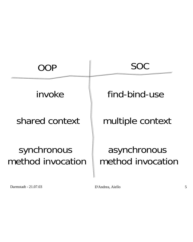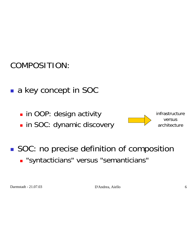### COMPOSITION:

- a key concept in SOC
	- $\blacksquare$  in OOP: design activity
	- **.** in SOC: dynamic discovery



infrastructureversusarchitecture

**SOC: no precise definition of composition** ! "syntacticians" versus "semanticians"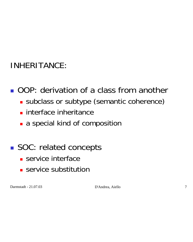## INHERITANCE:

## **. OOP: derivation of a class from another**

- **.** subclass or subtype (semantic coherence)
- **.** interface inheritance
- **a** a special kind of composition

## ■ SOC: related concepts

- **.** service interface
- **E** service substitution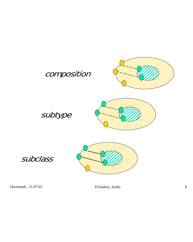

#### subtype



#### subclass

D'Andrea, Aiello 8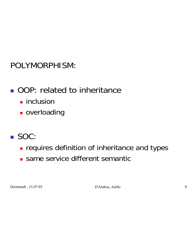### POLYMORPHISM:

## **. OOP: related to inheritance**

- $\blacksquare$  inclusion
- **overloading**

## ! SOC:

- **Example 1** requires definition of inheritance and types
- **same service different semantic**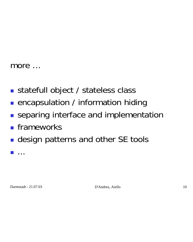#### more …

- statefull object / stateless class
- **.** encapsulation / information hiding
- **.** separing interface and implementation
- **E** frameworks
- **.** design patterns and other SE tools

**....**